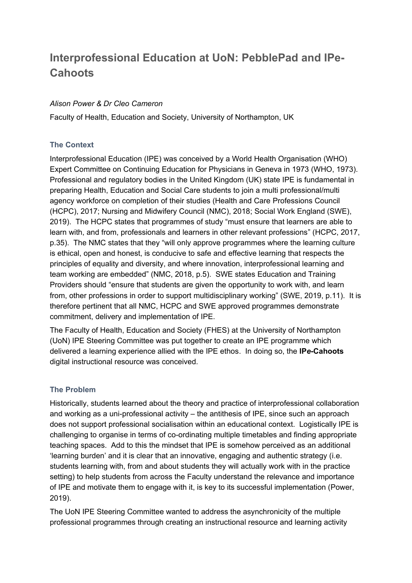# **Interprofessional Education at UoN: PebblePad and IPe-Cahoots**

## *Alison Power & Dr Cleo Cameron*

Faculty of Health, Education and Society, University of Northampton, UK

### **The Context**

Interprofessional Education (IPE) was conceived by a World Health Organisation (WHO) Expert Committee on Continuing Education for Physicians in Geneva in 1973 (WHO, 1973). Professional and regulatory bodies in the United Kingdom (UK) state IPE is fundamental in preparing Health, Education and Social Care students to join a multi professional/multi agency workforce on completion of their studies (Health and Care Professions Council (HCPC), 2017; Nursing and Midwifery Council (NMC), 2018; Social Work England (SWE), 2019). The HCPC states that programmes of study "must ensure that learners are able to learn with, and from, professionals and learners in other relevant professions" (HCPC, 2017, p.35). The NMC states that they "will only approve programmes where the learning culture is ethical, open and honest, is conducive to safe and effective learning that respects the principles of equality and diversity, and where innovation, interprofessional learning and team working are embedded" (NMC, 2018, p.5). SWE states Education and Training Providers should "ensure that students are given the opportunity to work with, and learn from, other professions in order to support multidisciplinary working" (SWE, 2019, p.11). It is therefore pertinent that all NMC, HCPC and SWE approved programmes demonstrate commitment, delivery and implementation of IPE.

The Faculty of Health, Education and Society (FHES) at the University of Northampton (UoN) IPE Steering Committee was put together to create an IPE programme which delivered a learning experience allied with the IPE ethos. In doing so, the **IP***e***-Cahoots** digital instructional resource was conceived.

# **The Problem**

Historically, students learned about the theory and practice of interprofessional collaboration and working as a uni-professional activity – the antithesis of IPE, since such an approach does not support professional socialisation within an educational context. Logistically IPE is challenging to organise in terms of co-ordinating multiple timetables and finding appropriate teaching spaces. Add to this the mindset that IPE is somehow perceived as an additional 'learning burden' and it is clear that an innovative, engaging and authentic strategy (i.e. students learning with, from and about students they will actually work with in the practice setting) to help students from across the Faculty understand the relevance and importance of IPE and motivate them to engage with it, is key to its successful implementation (Power, 2019).

The UoN IPE Steering Committee wanted to address the asynchronicity of the multiple professional programmes through creating an instructional resource and learning activity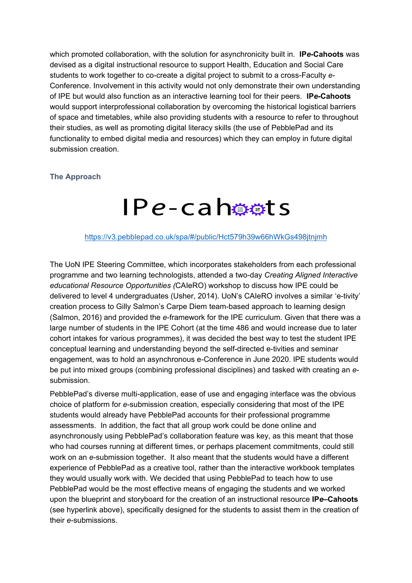which promoted collaboration, with the solution for asynchronicity built in. **IP***e***-Cahoots** was devised as a digital instructional resource to support Health, Education and Social Care students to work together to co-create a digital project to submit to a cross-Faculty *e-*Conference. Involvement in this activity would not only demonstrate their own understanding of IPE but would also function as an interactive learning tool for their peers. **IP***e***-Cahoots** would support interprofessional collaboration by overcoming the historical logistical barriers of space and timetables, while also providing students with a resource to refer to throughout their studies, as well as promoting digital literacy skills (the use of PebblePad and its functionality to embed digital media and resources) which they can employ in future digital submission creation.

#### **The Approach**

# $IPe$ -cahosts

#### <https://v3.pebblepad.co.uk/spa/#/public/Hct579h39w66hWkGs498jtnjmh>

The UoN IPE Steering Committee, which incorporates stakeholders from each professional programme and two learning technologists, attended a two-day *Creating Aligned Interactive educational Resource Opportunities (*CAIeRO) workshop to discuss how IPE could be delivered to level 4 undergraduates (Usher, 2014). UoN's CAIeRO involves a similar 'e-tivity' creation process to Gilly Salmon's Carpe Diem team-based approach to learning design (Salmon, 2016) and provided the *e*-framework for the IPE curriculum. Given that there was a large number of students in the IPE Cohort (at the time 486 and would increase due to later cohort intakes for various programmes), it was decided the best way to test the student IPE conceptual learning and understanding beyond the self-directed e-tivities and seminar engagement, was to hold an asynchronous e-Conference in June 2020. IPE students would be put into mixed groups (combining professional disciplines) and tasked with creating an *e*submission.

PebblePad's diverse multi-application, ease of use and engaging interface was the obvious choice of platform for *e*-submission creation, especially considering that most of the IPE students would already have PebblePad accounts for their professional programme assessments. In addition, the fact that all group work could be done online and asynchronously using PebblePad's collaboration feature was key, as this meant that those who had courses running at different times, or perhaps placement commitments, could still work on an *e*-submission together. It also meant that the students would have a different experience of PebblePad as a creative tool, rather than the interactive workbook templates they would usually work with. We decided that using PebblePad to teach how to use PebblePad would be the most effective means of engaging the students and we worked upon the blueprint and storyboard for the creation of an instructional resource **IP***e***–Cahoots**  (see hyperlink above), specifically designed for the students to assist them in the creation of their *e*-submissions.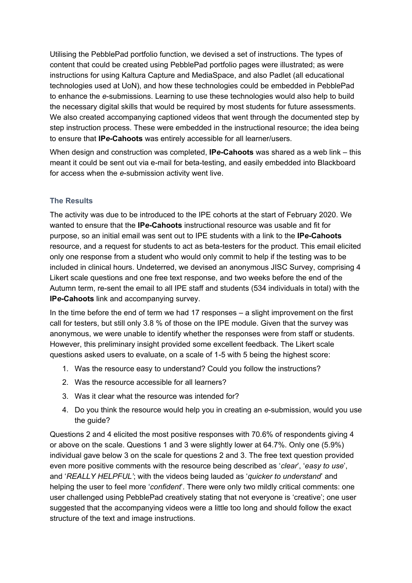Utilising the PebblePad portfolio function, we devised a set of instructions. The types of content that could be created using PebblePad portfolio pages were illustrated; as were instructions for using Kaltura Capture and MediaSpace, and also Padlet (all educational technologies used at UoN), and how these technologies could be embedded in PebblePad to enhance the *e*-submissions. Learning to use these technologies would also help to build the necessary digital skills that would be required by most students for future assessments. We also created accompanying captioned videos that went through the documented step by step instruction process. These were embedded in the instructional resource; the idea being to ensure that **IP***e***-Cahoots** was entirely accessible for all learner/users.

When design and construction was completed, **IP***e***-Cahoots** was shared as a web link – this meant it could be sent out via e-mail for beta-testing, and easily embedded into Blackboard for access when the *e*-submission activity went live.

# **The Results**

The activity was due to be introduced to the IPE cohorts at the start of February 2020. We wanted to ensure that the **IP***e***-Cahoots** instructional resource was usable and fit for purpose, so an initial email was sent out to IPE students with a link to the **IP***e***-Cahoots** resource, and a request for students to act as beta-testers for the product. This email elicited only one response from a student who would only commit to help if the testing was to be included in clinical hours. Undeterred, we devised an anonymous JISC Survey, comprising 4 Likert scale questions and one free text response, and two weeks before the end of the Autumn term, re-sent the email to all IPE staff and students (534 individuals in total) with the **IP***e***-Cahoots** link and accompanying survey.

In the time before the end of term we had 17 responses – a slight improvement on the first call for testers, but still only 3.8 % of those on the IPE module. Given that the survey was anonymous, we were unable to identify whether the responses were from staff or students. However, this preliminary insight provided some excellent feedback. The Likert scale questions asked users to evaluate, on a scale of 1-5 with 5 being the highest score:

- 1. Was the resource easy to understand? Could you follow the instructions?
- 2. Was the resource accessible for all learners?
- 3. Was it clear what the resource was intended for?
- 4. Do you think the resource would help you in creating an *e*-submission, would you use the quide?

Questions 2 and 4 elicited the most positive responses with 70.6% of respondents giving 4 or above on the scale. Questions 1 and 3 were slightly lower at 64.7%. Only one (5.9%) individual gave below 3 on the scale for questions 2 and 3. The free text question provided even more positive comments with the resource being described as '*clear*', '*easy to use*', and '*REALLY HELPFUL'*; with the videos being lauded as '*quicker to understand*' and helping the user to feel more '*confident*'. There were only two mildly critical comments: one user challenged using PebblePad creatively stating that not everyone is 'creative'; one user suggested that the accompanying videos were a little too long and should follow the exact structure of the text and image instructions.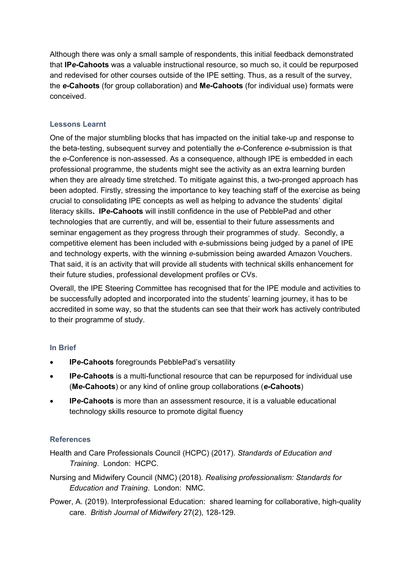Although there was only a small sample of respondents, this initial feedback demonstrated that **IP***e***-Cahoots** was a valuable instructional resource, so much so, it could be repurposed and redevised for other courses outside of the IPE setting. Thus, as a result of the survey, the *e***-Cahoots** (for group collaboration) and **M***e***-Cahoots** (for individual use) formats were conceived.

# **Lessons Learnt**

One of the major stumbling blocks that has impacted on the initial take-up and response to the beta-testing, subsequent survey and potentially the *e*-Conference *e*-submission is that the *e*-Conference is non-assessed. As a consequence, although IPE is embedded in each professional programme, the students might see the activity as an extra learning burden when they are already time stretched. To mitigate against this, a two-pronged approach has been adopted. Firstly, stressing the importance to key teaching staff of the exercise as being crucial to consolidating IPE concepts as well as helping to advance the students' digital literacy skills**. IP***e***-Cahoots** will instill confidence in the use of PebblePad and other technologies that are currently, and will be, essential to their future assessments and seminar engagement as they progress through their programmes of study. Secondly, a competitive element has been included with *e*-submissions being judged by a panel of IPE and technology experts, with the winning *e*-submission being awarded Amazon Vouchers. That said, it is an activity that will provide all students with technical skills enhancement for their future studies, professional development profiles or CVs.

Overall, the IPE Steering Committee has recognised that for the IPE module and activities to be successfully adopted and incorporated into the students' learning journey, it has to be accredited in some way, so that the students can see that their work has actively contributed to their programme of study.

# **In Brief**

- **IP***e***-Cahoots** foregrounds PebblePad's versatility
- **IP***e***-Cahoots** is a multi-functional resource that can be repurposed for individual use (**M***e***-Cahoots**) or any kind of online group collaborations (*e***-Cahoots**)
- **IP***e***-Cahoots** is more than an assessment resource, it is a valuable educational technology skills resource to promote digital fluency

# **References**

Health and Care Professionals Council (HCPC) (2017). *Standards of Education and Training*. London: HCPC.

- Nursing and Midwifery Council (NMC) (2018). *Realising professionalism: Standards for Education and Training*. London: NMC.
- Power, A. (2019). Interprofessional Education: shared learning for collaborative, high-quality care. *British Journal of Midwifery* 27(2), 128-129.